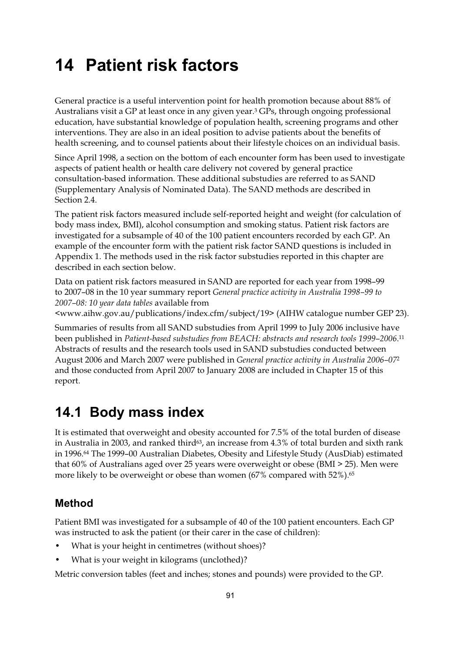# **14 Patient risk factors**

General practice is a useful intervention point for health promotion because about 88% of Australians visit a GP at least once in any given year.3 GPs, through ongoing professional education, have substantial knowledge of population health, screening programs and other interventions. They are also in an ideal position to advise patients about the benefits of health screening, and to counsel patients about their lifestyle choices on an individual basis.

Since April 1998, a section on the bottom of each encounter form has been used to investigate aspects of patient health or health care delivery not covered by general practice consultation-based information. These additional substudies are referred to as SAND (Supplementary Analysis of Nominated Data). The SAND methods are described in Section 2.4.

The patient risk factors measured include self-reported height and weight (for calculation of body mass index, BMI), alcohol consumption and smoking status. Patient risk factors are investigated for a subsample of 40 of the 100 patient encounters recorded by each GP. An example of the encounter form with the patient risk factor SAND questions is included in Appendix 1. The methods used in the risk factor substudies reported in this chapter are described in each section below.

Data on patient risk factors measured in SAND are reported for each year from 1998–99 to 2007–08 in the 10 year summary report *General practice activity in Australia 1998–99 to 2007–08: 10 year data tables* available from

<www.aihw.gov.au/publications/index.cfm/subject/19> (AIHW catalogue number GEP 23).

Summaries of results from all SAND substudies from April 1999 to July 2006 inclusive have been published in *Patient-based substudies from BEACH: abstracts and research tools 1999–2006*.11 Abstracts of results and the research tools used in SAND substudies conducted between August 2006 and March 2007 were published in *General practice activity in Australia 2006–07*<sup>2</sup> and those conducted from April 2007 to January 2008 are included in Chapter 15 of this report.

## **14.1 Body mass index**

It is estimated that overweight and obesity accounted for 7.5% of the total burden of disease in Australia in 2003, and ranked third $63$ , an increase from 4.3% of total burden and sixth rank in 1996.64 The 1999–00 Australian Diabetes, Obesity and Lifestyle Study (AusDiab) estimated that 60% of Australians aged over 25 years were overweight or obese (BMI > 25). Men were more likely to be overweight or obese than women (67% compared with 52%).<sup>65</sup>

### **Method**

Patient BMI was investigated for a subsample of 40 of the 100 patient encounters. Each GP was instructed to ask the patient (or their carer in the case of children):

- What is your height in centimetres (without shoes)?
- What is your weight in kilograms (unclothed)?

Metric conversion tables (feet and inches; stones and pounds) were provided to the GP.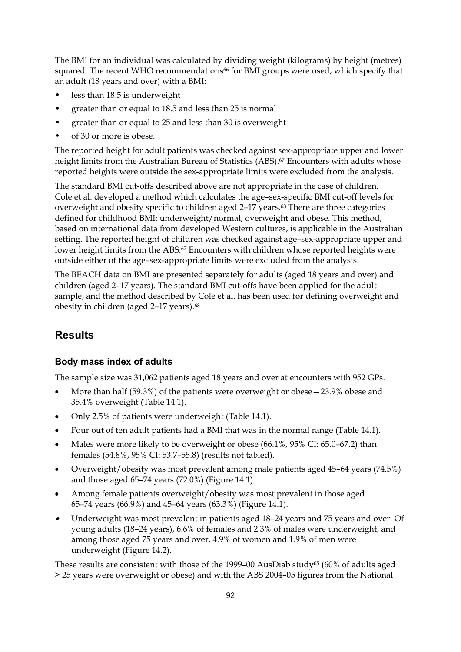The BMI for an individual was calculated by dividing weight (kilograms) by height (metres) squared. The recent WHO recommendations<sup>66</sup> for BMI groups were used, which specify that an adult (18 years and over) with a BMI:

- less than 18.5 is underweight
- greater than or equal to 18.5 and less than 25 is normal
- greater than or equal to 25 and less than 30 is overweight
- of 30 or more is obese.

The reported height for adult patients was checked against sex-appropriate upper and lower height limits from the Australian Bureau of Statistics (ABS).<sup>67</sup> Encounters with adults whose reported heights were outside the sex-appropriate limits were excluded from the analysis.

The standard BMI cut-offs described above are not appropriate in the case of children. Cole et al. developed a method which calculates the age–sex-specific BMI cut-off levels for overweight and obesity specific to children aged 2–17 years.68 There are three categories defined for childhood BMI: underweight/normal, overweight and obese. This method, based on international data from developed Western cultures, is applicable in the Australian setting. The reported height of children was checked against age–sex-appropriate upper and lower height limits from the ABS.67 Encounters with children whose reported heights were outside either of the age–sex-appropriate limits were excluded from the analysis.

The BEACH data on BMI are presented separately for adults (aged 18 years and over) and children (aged 2–17 years). The standard BMI cut-offs have been applied for the adult sample, and the method described by Cole et al. has been used for defining overweight and obesity in children (aged 2-17 years).<sup>68</sup>

## **Results**

### **Body mass index of adults**

The sample size was 31,062 patients aged 18 years and over at encounters with 952 GPs.

- $\bullet$  More than half (59.3%) of the patients were overweight or obese—23.9% obese and 35.4% overweight (Table 14.1).
- -Only 2.5% of patients were underweight (Table 14.1).
- -Four out of ten adult patients had a BMI that was in the normal range (Table 14.1).
- - Males were more likely to be overweight or obese (66.1%, 95% CI: 65.0–67.2) than females (54.8%, 95% CI: 53.7–55.8) (results not tabled).
- $\bullet$  Overweight/obesity was most prevalent among male patients aged 45–64 years (74.5%) and those aged 65–74 years (72.0%) (Figure 14.1).
- $\bullet$  Among female patients overweight/obesity was most prevalent in those aged 65–74 years (66.9%) and 45–64 years (63.3%) (Figure 14.1).
- $\bullet$  Underweight was most prevalent in patients aged 18–24 years and 75 years and over. Of young adults (18–24 years), 6.6% of females and 2.3% of males were underweight, and among those aged 75 years and over, 4.9% of women and 1.9% of men were underweight (Figure 14.2).

These results are consistent with those of the 1999–00 AusDiab study<sup>65</sup> (60% of adults aged > 25 years were overweight or obese) and with the ABS 2004–05 figures from the National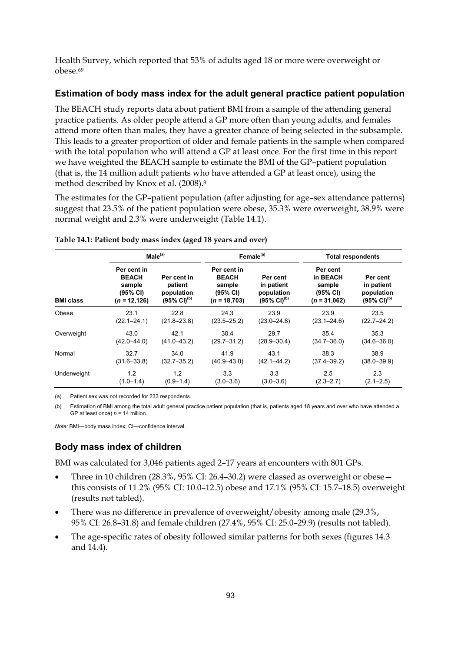Health Survey, which reported that 53% of adults aged 18 or more were overweight or obese.69

### **Estimation of body mass index for the adult general practice patient population**

The BEACH study reports data about patient BMI from a sample of the attending general practice patients. As older people attend a GP more often than young adults, and females attend more often than males, they have a greater chance of being selected in the subsample. This leads to a greater proportion of older and female patients in the sample when compared with the total population who will attend a GP at least once. For the first time in this report we have weighted the BEACH sample to estimate the BMI of the GP–patient population (that is, the 14 million adult patients who have attended a GP at least once), using the method described by Knox et al. (2008).3

The estimates for the GP–patient population (after adjusting for age–sex attendance patterns) suggest that 23.5% of the patient population were obese, 35.3% were overweight, 38.9% were normal weight and 2.3% were underweight (Table 14.1).

|                  | Male <sup>(a)</sup>                                                  |                                                                   | Female <sup>(a)</sup>                                               |                                                                   | <b>Total respondents</b>                                     |                                                                 |
|------------------|----------------------------------------------------------------------|-------------------------------------------------------------------|---------------------------------------------------------------------|-------------------------------------------------------------------|--------------------------------------------------------------|-----------------------------------------------------------------|
| <b>BMI class</b> | Per cent in<br><b>BEACH</b><br>sample<br>(95% CI)<br>$(n = 12, 126)$ | Per cent in<br>patient<br>population<br>$(95\% \text{ Cl})^{(b)}$ | Per cent in<br><b>BEACH</b><br>sample<br>(95% CI)<br>$(n = 18,703)$ | Per cent<br>in patient<br>population<br>$(95\% \text{ Cl})^{(b)}$ | Per cent<br>in BEACH<br>sample<br>(95% CI)<br>$(n = 31,062)$ | Per cent<br>in patient<br>population<br>(95% CI) <sup>(b)</sup> |
| Obese            | 23.1                                                                 | 22.8                                                              | 24.3                                                                | 23.9                                                              | 23.9                                                         | 23.5                                                            |
|                  | $(22.1 - 24.1)$                                                      | $(21.8 - 23.8)$                                                   | $(23.5 - 25.2)$                                                     | $(23.0 - 24.8)$                                                   | $(23.1 - 24.6)$                                              | $(22.7 - 24.2)$                                                 |
| Overweight       | 43.0                                                                 | 42.1                                                              | 30.4                                                                | 29.7                                                              | 35.4                                                         | 35.3                                                            |
|                  | $(42.0 - 44.0)$                                                      | $(41.0 - 43.2)$                                                   | $(29.7 - 31.2)$                                                     | $(28.9 - 30.4)$                                                   | $(34.7 - 36.0)$                                              | $(34.6 - 36.0)$                                                 |
| Normal           | 32.7                                                                 | 34.0                                                              | 41.9                                                                | 43.1                                                              | 38.3                                                         | 38.9                                                            |
|                  | $(31.6 - 33.8)$                                                      | $(32.7 - 35.2)$                                                   | $(40.9 - 43.0)$                                                     | $(42.1 - 44.2)$                                                   | $(37.4 - 39.2)$                                              | $(38.0 - 39.9)$                                                 |
| Underweight      | 1.2                                                                  | 1.2                                                               | 3.3                                                                 | 3.3                                                               | 2.5                                                          | 2.3                                                             |
|                  | $(1.0 - 1.4)$                                                        | $(0.9 - 1.4)$                                                     | $(3.0 - 3.6)$                                                       | $(3.0 - 3.6)$                                                     | $(2.3 - 2.7)$                                                | $(2.1 - 2.5)$                                                   |

#### **Table 14.1: Patient body mass index (aged 18 years and over)**

(a) Patient sex was not recorded for 233 respondents.

(b) Estimation of BMI among the total adult general practice patient population (that is, patients aged 18 years and over who have attended a GP at least once) *n* = 14 million.

*Note:* BMI—body mass index; CI—confidence interval.

### **Body mass index of children**

BMI was calculated for 3,046 patients aged 2–17 years at encounters with 801 GPs.

- - Three in 10 children (28.3%, 95% CI: 26.4–30.2) were classed as overweight or obese this consists of 11.2% (95% CI: 10.0–12.5) obese and 17.1% (95% CI: 15.7–18.5) overweight (results not tabled).
- - There was no difference in prevalence of overweight/obesity among male (29.3%, 95% CI: 26.8–31.8) and female children (27.4%, 95% CI: 25.0–29.9) (results not tabled).
- - The age-specific rates of obesity followed similar patterns for both sexes (figures 14.3 and 14.4).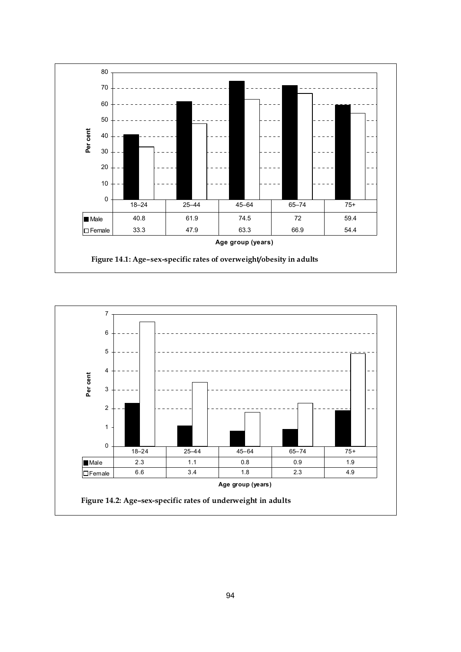

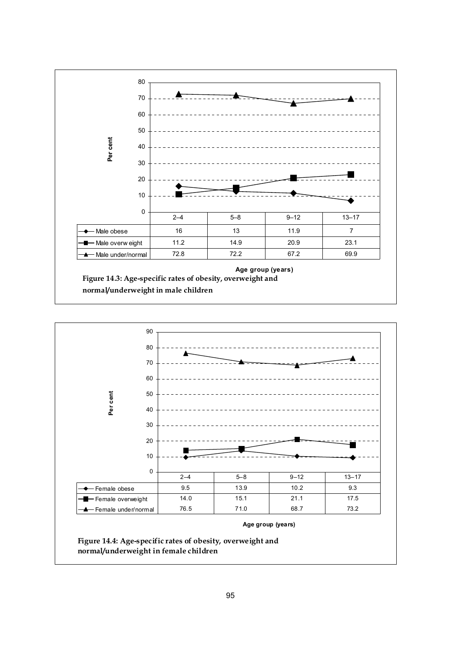



**Age group (years)**

**Figure 14.4: Age-specific rates of obesity, overweight and normal/underweight in female children**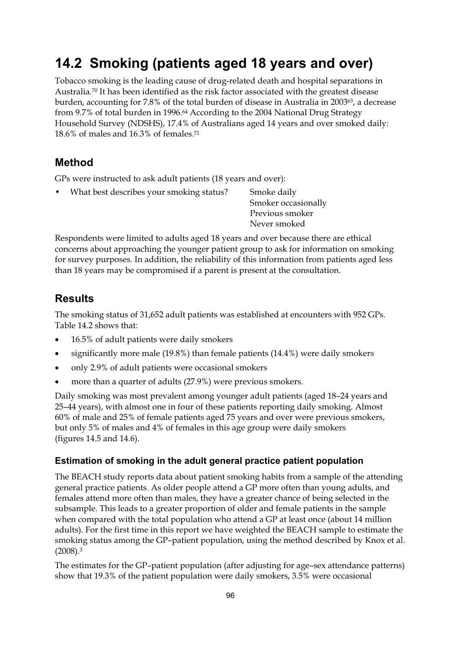# **14.2 Smoking (patients aged 18 years and over)**

Tobacco smoking is the leading cause of drug-related death and hospital separations in Australia.70 It has been identified as the risk factor associated with the greatest disease burden, accounting for 7.8% of the total burden of disease in Australia in 200363, a decrease from 9.7% of total burden in 1996.64 According to the 2004 National Drug Strategy Household Survey (NDSHS), 17.4% of Australians aged 14 years and over smoked daily: 18.6% of males and 16.3% of females.71

## **Method**

GPs were instructed to ask adult patients (18 years and over):

What best describes your smoking status? Smoke daily

 Smoker occasionally Previous smoker Never smoked

Respondents were limited to adults aged 18 years and over because there are ethical concerns about approaching the younger patient group to ask for information on smoking for survey purposes. In addition, the reliability of this information from patients aged less than 18 years may be compromised if a parent is present at the consultation.

## **Results**

The smoking status of 31,652 adult patients was established at encounters with 952 GPs. Table 14.2 shows that:

- $\bullet$ 16.5% of adult patients were daily smokers
- $\bullet$ significantly more male (19.8%) than female patients (14.4%) were daily smokers
- only 2.9% of adult patients were occasional smokers
- more than a quarter of adults (27.9%) were previous smokers.

Daily smoking was most prevalent among younger adult patients (aged 18–24 years and 25–44 years), with almost one in four of these patients reporting daily smoking. Almost 60% of male and 25% of female patients aged 75 years and over were previous smokers, but only 5% of males and 4% of females in this age group were daily smokers (figures 14.5 and 14.6).

### **Estimation of smoking in the adult general practice patient population**

The BEACH study reports data about patient smoking habits from a sample of the attending general practice patients. As older people attend a GP more often than young adults, and females attend more often than males, they have a greater chance of being selected in the subsample. This leads to a greater proportion of older and female patients in the sample when compared with the total population who attend a GP at least once (about 14 million adults). For the first time in this report we have weighted the BEACH sample to estimate the smoking status among the GP–patient population, using the method described by Knox et al. (2008).3

The estimates for the GP–patient population (after adjusting for age–sex attendance patterns) show that 19.3% of the patient population were daily smokers, 3.5% were occasional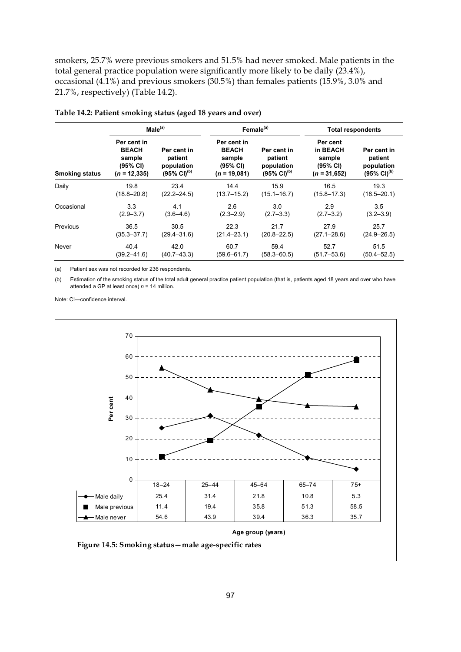smokers, 25.7% were previous smokers and 51.5% had never smoked. Male patients in the total general practice population were significantly more likely to be daily (23.4%), occasional (4.1%) and previous smokers (30.5%) than females patients (15.9%, 3.0% and 21.7%, respectively) (Table 14.2).

|                       | Male <sup>(a)</sup>                                                  |                                                                   | Female <sup>(a)</sup>                                               |                                                                   | <b>Total respondents</b>                                     |                                                                   |
|-----------------------|----------------------------------------------------------------------|-------------------------------------------------------------------|---------------------------------------------------------------------|-------------------------------------------------------------------|--------------------------------------------------------------|-------------------------------------------------------------------|
| <b>Smoking status</b> | Per cent in<br><b>BEACH</b><br>sample<br>(95% CI)<br>$(n = 12, 335)$ | Per cent in<br>patient<br>population<br>$(95\% \text{ Cl})^{(b)}$ | Per cent in<br><b>BEACH</b><br>sample<br>(95% CI)<br>$(n = 19,081)$ | Per cent in<br>patient<br>population<br>$(95\% \text{ Cl})^{(b)}$ | Per cent<br>in BEACH<br>sample<br>(95% CI)<br>$(n = 31,652)$ | Per cent in<br>patient<br>population<br>$(95\% \text{ Cl})^{(b)}$ |
| Daily                 | 19.8                                                                 | 23.4                                                              | 14.4                                                                | 15.9                                                              | 16.5                                                         | 19.3                                                              |
|                       | $(18.8 - 20.8)$                                                      | $(22.2 - 24.5)$                                                   | $(13.7 - 15.2)$                                                     | $(15.1 - 16.7)$                                                   | $(15.8 - 17.3)$                                              | $(18.5 - 20.1)$                                                   |
| Occasional            | 3.3                                                                  | 4.1                                                               | 2.6                                                                 | 3.0                                                               | 2.9                                                          | 3.5                                                               |
|                       | $(2.9 - 3.7)$                                                        | $(3.6 - 4.6)$                                                     | $(2.3 - 2.9)$                                                       | $(2.7 - 3.3)$                                                     | $(2.7 - 3.2)$                                                | $(3.2 - 3.9)$                                                     |
| Previous              | 36.5                                                                 | 30.5                                                              | 22.3                                                                | 21.7                                                              | 27.9                                                         | 25.7                                                              |
|                       | $(35.3 - 37.7)$                                                      | $(29.4 - 31.6)$                                                   | $(21.4 - 23.1)$                                                     | $(20.8 - 22.5)$                                                   | $(27.1 - 28.6)$                                              | $(24.9 - 26.5)$                                                   |
| Never                 | 40.4                                                                 | 42.0                                                              | 60.7                                                                | 59.4                                                              | 52.7                                                         | 51.5                                                              |
|                       | $(39.2 - 41.6)$                                                      | $(40.7 - 43.3)$                                                   | $(59.6 - 61.7)$                                                     | $(58.3 - 60.5)$                                                   | $(51.7 - 53.6)$                                              | $(50.4 - 52.5)$                                                   |

**Table 14.2: Patient smoking status (aged 18 years and over)** 

(a) Patient sex was not recorded for 236 respondents.

(b) Estimation of the smoking status of the total adult general practice patient population (that is, patients aged 18 years and over who have attended a GP at least once) *n* = 14 million.

Note: CI—confidence interval.

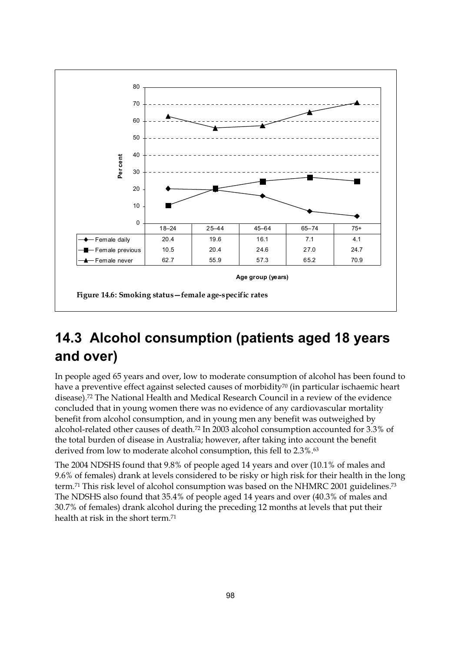

# **14.3 Alcohol consumption (patients aged 18 years and over)**

In people aged 65 years and over, low to moderate consumption of alcohol has been found to have a preventive effect against selected causes of morbidity<sup>70</sup> (in particular ischaemic heart disease).72 The National Health and Medical Research Council in a review of the evidence concluded that in young women there was no evidence of any cardiovascular mortality benefit from alcohol consumption, and in young men any benefit was outweighed by alcohol-related other causes of death.72 In 2003 alcohol consumption accounted for 3.3% of the total burden of disease in Australia; however, after taking into account the benefit derived from low to moderate alcohol consumption, this fell to 2.3%.<sup>63</sup>

The 2004 NDSHS found that 9.8% of people aged 14 years and over (10.1% of males and 9.6% of females) drank at levels considered to be risky or high risk for their health in the long term.<sup>71</sup> This risk level of alcohol consumption was based on the NHMRC 2001 guidelines.<sup>73</sup> The NDSHS also found that 35.4% of people aged 14 years and over (40.3% of males and 30.7% of females) drank alcohol during the preceding 12 months at levels that put their health at risk in the short term.71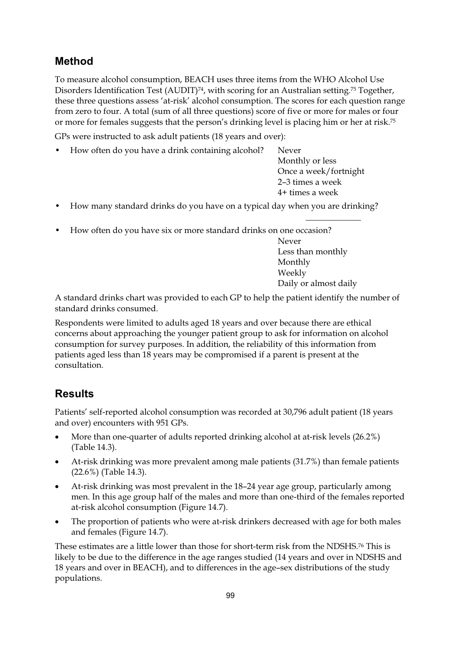## **Method**

To measure alcohol consumption, BEACH uses three items from the WHO Alcohol Use Disorders Identification Test (AUDIT)<sup>74</sup>, with scoring for an Australian setting.<sup>75</sup> Together, these three questions assess 'at-risk' alcohol consumption. The scores for each question range from zero to four. A total (sum of all three questions) score of five or more for males or four or more for females suggests that the person's drinking level is placing him or her at risk.75

GPs were instructed to ask adult patients (18 years and over):

• How often do you have a drink containing alcohol? Never

 Monthly or less Once a week/fortnight 2–3 times a week 4+ times a week

- How many standard drinks do you have on a typical day when you are drinking?  $\mathcal{L}_\text{max}$  and  $\mathcal{L}_\text{max}$  are the set of the set of the set of the set of the set of the set of the set of the set of the set of the set of the set of the set of the set of the set of the set of the set of the set o
- How often do you have six or more standard drinks on one occasion?

Never Less than monthly Monthly Weekly Daily or almost daily

A standard drinks chart was provided to each GP to help the patient identify the number of standard drinks consumed.

Respondents were limited to adults aged 18 years and over because there are ethical concerns about approaching the younger patient group to ask for information on alcohol consumption for survey purposes. In addition, the reliability of this information from patients aged less than 18 years may be compromised if a parent is present at the consultation.

## **Results**

Patients' self-reported alcohol consumption was recorded at 30,796 adult patient (18 years and over) encounters with 951 GPs.

- -More than one-quarter of adults reported drinking alcohol at at-risk levels (26.2%) (Table 14.3).
- - At-risk drinking was more prevalent among male patients (31.7%) than female patients (22.6%) (Table 14.3).
- - At-risk drinking was most prevalent in the 18–24 year age group, particularly among men. In this age group half of the males and more than one-third of the females reported at-risk alcohol consumption (Figure 14.7).
- - The proportion of patients who were at-risk drinkers decreased with age for both males and females (Figure 14.7).

These estimates are a little lower than those for short-term risk from the NDSHS.76 This is likely to be due to the difference in the age ranges studied (14 years and over in NDSHS and 18 years and over in BEACH), and to differences in the age–sex distributions of the study populations.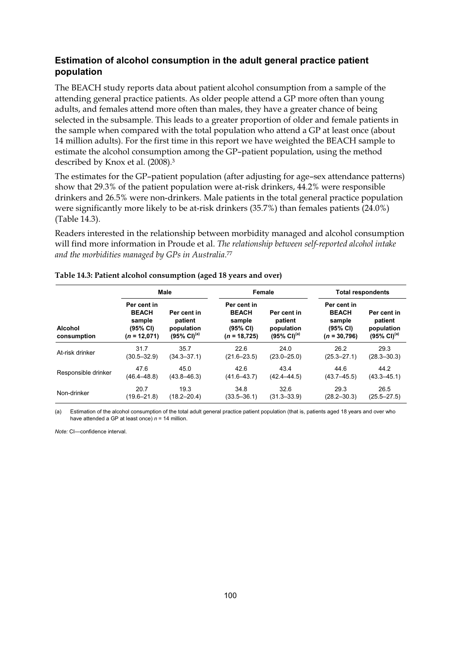### **Estimation of alcohol consumption in the adult general practice patient population**

The BEACH study reports data about patient alcohol consumption from a sample of the attending general practice patients. As older people attend a GP more often than young adults, and females attend more often than males, they have a greater chance of being selected in the subsample. This leads to a greater proportion of older and female patients in the sample when compared with the total population who attend a GP at least once (about 14 million adults). For the first time in this report we have weighted the BEACH sample to estimate the alcohol consumption among the GP–patient population, using the method described by Knox et al. (2008).3

The estimates for the GP–patient population (after adjusting for age–sex attendance patterns) show that 29.3% of the patient population were at-risk drinkers, 44.2% were responsible drinkers and 26.5% were non-drinkers. Male patients in the total general practice population were significantly more likely to be at-risk drinkers (35.7%) than females patients (24.0%) (Table 14.3).

Readers interested in the relationship between morbidity managed and alcohol consumption will find more information in Proude et al. *The relationship between self-reported alcohol intake and the morbidities managed by GPs in Australia*.77

|                               | <b>Male</b>                                                         |                                                                   | Female                                                               |                                                                   | <b>Total respondents</b>                                            |                                                                   |
|-------------------------------|---------------------------------------------------------------------|-------------------------------------------------------------------|----------------------------------------------------------------------|-------------------------------------------------------------------|---------------------------------------------------------------------|-------------------------------------------------------------------|
| <b>Alcohol</b><br>consumption | Per cent in<br><b>BEACH</b><br>sample<br>(95% CI)<br>$(n = 12,071)$ | Per cent in<br>patient<br>population<br>$(95\% \text{ Cl})^{(a)}$ | Per cent in<br><b>BEACH</b><br>sample<br>(95% CI)<br>$(n = 18, 725)$ | Per cent in<br>patient<br>population<br>$(95\% \text{ Cl})^{(a)}$ | Per cent in<br><b>BEACH</b><br>sample<br>(95% CI)<br>$(n = 30,796)$ | Per cent in<br>patient<br>population<br>$(95\% \text{ Cl})^{(a)}$ |
| At-risk drinker               | 31.7                                                                | 35.7                                                              | 22.6                                                                 | 24.0                                                              | 26.2                                                                | 29.3                                                              |
|                               | $(30.5 - 32.9)$                                                     | $(34.3 - 37.1)$                                                   | $(21.6 - 23.5)$                                                      | $(23.0 - 25.0)$                                                   | $(25.3 - 27.1)$                                                     | $(28.3 - 30.3)$                                                   |
| Responsible drinker           | 47.6                                                                | 45.0                                                              | 42.6                                                                 | 43.4                                                              | 44.6                                                                | 44.2                                                              |
|                               | $(46.4 - 48.8)$                                                     | $(43.8 - 46.3)$                                                   | $(41.6 - 43.7)$                                                      | $(42.4 - 44.5)$                                                   | $(43.7 - 45.5)$                                                     | $(43.3 - 45.1)$                                                   |
| Non-drinker                   | 20.7                                                                | 19.3                                                              | 34.8                                                                 | 32.6                                                              | 29.3                                                                | 26.5                                                              |
|                               | $(19.6 - 21.8)$                                                     | $(18.2 - 20.4)$                                                   | $(33.5 - 36.1)$                                                      | $(31.3 - 33.9)$                                                   | $(28.2 - 30.3)$                                                     | $(25.5 - 27.5)$                                                   |

#### **Table 14.3: Patient alcohol consumption (aged 18 years and over)**

(a) Estimation of the alcohol consumption of the total adult general practice patient population (that is, patients aged 18 years and over who have attended a GP at least once)  $n = 14$  million.

*Note:* CI—confidence interval.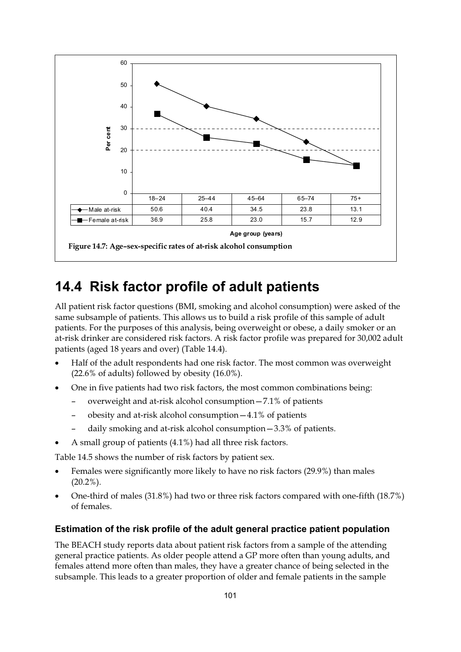

## **14.4 Risk factor profile of adult patients**

All patient risk factor questions (BMI, smoking and alcohol consumption) were asked of the same subsample of patients. This allows us to build a risk profile of this sample of adult patients. For the purposes of this analysis, being overweight or obese, a daily smoker or an at-risk drinker are considered risk factors. A risk factor profile was prepared for 30,002 adult patients (aged 18 years and over) (Table 14.4).

- $\bullet$  Half of the adult respondents had one risk factor. The most common was overweight  $(22.6\% \text{ of adults})$  followed by obesity  $(16.0\%).$
- - One in five patients had two risk factors, the most common combinations being:
	- overweight and at-risk alcohol consumption—7.1% of patients
	- obesity and at-risk alcohol consumption—4.1% of patients
	- daily smoking and at-risk alcohol consumption—3.3% of patients.
- -A small group of patients (4.1%) had all three risk factors.

Table 14.5 shows the number of risk factors by patient sex.

- - Females were significantly more likely to have no risk factors (29.9%) than males  $(20.2\%)$ .
- - One-third of males (31.8%) had two or three risk factors compared with one-fifth (18.7%) of females.

### **Estimation of the risk profile of the adult general practice patient population**

The BEACH study reports data about patient risk factors from a sample of the attending general practice patients. As older people attend a GP more often than young adults, and females attend more often than males, they have a greater chance of being selected in the subsample. This leads to a greater proportion of older and female patients in the sample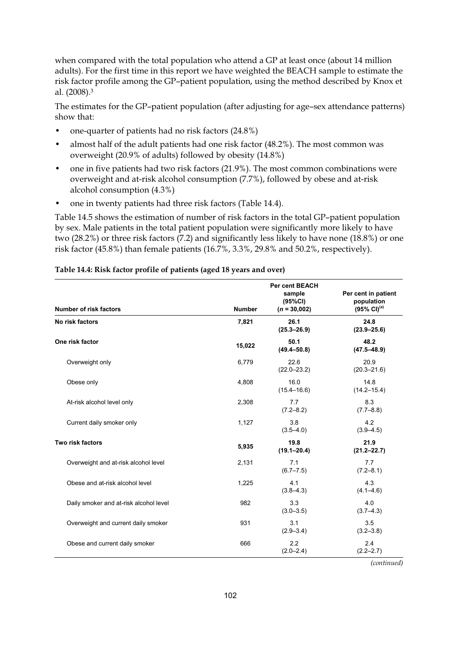when compared with the total population who attend a GP at least once (about 14 million adults). For the first time in this report we have weighted the BEACH sample to estimate the risk factor profile among the GP–patient population, using the method described by Knox et al. (2008).3

The estimates for the GP–patient population (after adjusting for age–sex attendance patterns) show that:

- one-quarter of patients had no risk factors (24.8%)
- almost half of the adult patients had one risk factor (48.2%). The most common was overweight (20.9% of adults) followed by obesity (14.8%)
- one in five patients had two risk factors (21.9%). The most common combinations were overweight and at-risk alcohol consumption (7.7%), followed by obese and at-risk alcohol consumption (4.3%)
- one in twenty patients had three risk factors (Table 14.4).

Table 14.5 shows the estimation of number of risk factors in the total GP–patient population by sex. Male patients in the total patient population were significantly more likely to have two (28.2%) or three risk factors (7.2) and significantly less likely to have none (18.8%) or one risk factor (45.8%) than female patients (16.7%, 3.3%, 29.8% and 50.2%, respectively).

| <b>Number of risk factors</b>          | <b>Number</b> | <b>Per cent BEACH</b><br>sample<br>(95%CI)<br>$(n = 30,002)$ | Per cent in patient<br>population<br>$(95\% \text{ Cl})^{(a)}$ |
|----------------------------------------|---------------|--------------------------------------------------------------|----------------------------------------------------------------|
| No risk factors                        | 7,821         | 26.1<br>$(25.3 - 26.9)$                                      | 24.8<br>$(23.9 - 25.6)$                                        |
| One risk factor                        | 15,022        | 50.1<br>$(49.4 - 50.8)$                                      | 48.2<br>$(47.5 - 48.9)$                                        |
| Overweight only                        | 6,779         | 22.6<br>$(22.0 - 23.2)$                                      | 20.9<br>$(20.3 - 21.6)$                                        |
| Obese only                             | 4,808         | 16.0<br>$(15.4 - 16.6)$                                      | 14.8<br>$(14.2 - 15.4)$                                        |
| At-risk alcohol level only             | 2,308         | 7.7<br>$(7.2 - 8.2)$                                         | 8.3<br>$(7.7 - 8.8)$                                           |
| Current daily smoker only              | 1,127         | 3.8<br>$(3.5 - 4.0)$                                         | 4.2<br>$(3.9 - 4.5)$                                           |
| Two risk factors                       | 5,935         | 19.8<br>$(19.1 - 20.4)$                                      | 21.9<br>$(21.2 - 22.7)$                                        |
| Overweight and at-risk alcohol level   | 2,131         | 7.1<br>$(6.7 - 7.5)$                                         | 7.7<br>$(7.2 - 8.1)$                                           |
| Obese and at-risk alcohol level        | 1,225         | 4.1<br>$(3.8 - 4.3)$                                         | 4.3<br>$(4.1 - 4.6)$                                           |
| Daily smoker and at-risk alcohol level | 982           | 3.3<br>$(3.0 - 3.5)$                                         | 4.0<br>$(3.7 - 4.3)$                                           |
| Overweight and current daily smoker    | 931           | 3.1<br>$(2.9 - 3.4)$                                         | 3.5<br>$(3.2 - 3.8)$                                           |
| Obese and current daily smoker         | 666           | 2.2<br>$(2.0 - 2.4)$                                         | 2.4<br>$(2.2 - 2.7)$                                           |

### **Table 14.4: Risk factor profile of patients (aged 18 years and over)**

*(continued)*